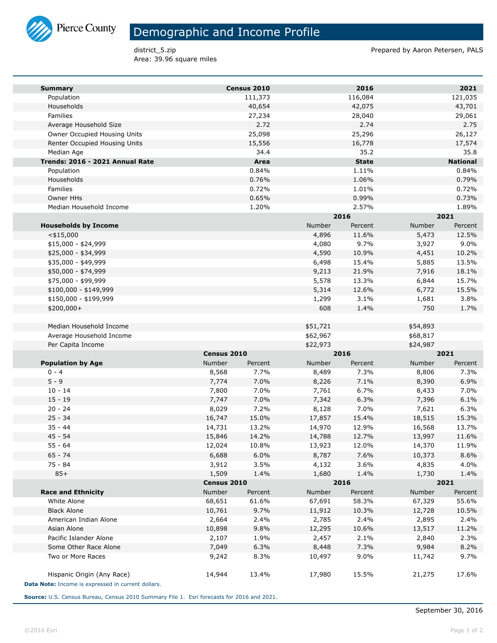

## Demographic and Income Profile

Area: 39.96 square miles

district\_5.zip **Prepared by Aaron Petersen, PALS** 

| <b>Summary</b>                                     |             | Census 2010 |          | 2016            |          | 2021            |  |
|----------------------------------------------------|-------------|-------------|----------|-----------------|----------|-----------------|--|
| Population                                         |             | 111,373     |          | 116,084         |          | 121,035         |  |
| Households                                         |             | 40,654      |          | 42,075          |          | 43,701          |  |
| Families                                           |             | 27,234      |          | 28,040          |          | 29,061          |  |
| Average Household Size                             |             | 2.72        |          | 2.74            |          | 2.75            |  |
| Owner Occupied Housing Units                       |             | 25,098      |          | 25,296          |          | 26,127          |  |
| Renter Occupied Housing Units                      |             | 15,556      |          | 16,778          |          | 17,574          |  |
| Median Age                                         |             | 34.4        |          | 35.2            |          | 35.8            |  |
| Trends: 2016 - 2021 Annual Rate                    |             | Area        |          | <b>State</b>    |          | <b>National</b> |  |
| Population                                         |             | 0.84%       |          | 1.11%           |          | 0.84%           |  |
| Households                                         |             | 0.76%       |          | 1.06%           |          | 0.79%           |  |
| Families                                           |             | 0.72%       |          | 1.01%           |          | 0.72%           |  |
| <b>Owner HHs</b>                                   |             | 0.65%       |          | 0.99%           |          | 0.73%           |  |
| Median Household Income                            |             | 1.20%       |          | 2.57%           |          | 1.89%           |  |
|                                                    |             |             |          | 2016            |          | 2021            |  |
| <b>Households by Income</b>                        |             |             | Number   | Percent         | Number   | Percent         |  |
| $<$ \$15,000                                       |             |             | 4,896    | 11.6%           | 5,473    | 12.5%           |  |
| $$15,000 - $24,999$                                |             |             | 4,080    | 9.7%            | 3,927    | 9.0%            |  |
| \$25,000 - \$34,999                                |             |             | 4,590    | 10.9%           | 4,451    | 10.2%           |  |
| \$35,000 - \$49,999                                |             |             | 6,498    | 15.4%           | 5,885    | 13.5%           |  |
| \$50,000 - \$74,999                                |             |             | 9,213    | 21.9%           | 7,916    | 18.1%           |  |
| \$75,000 - \$99,999                                |             |             | 5,578    | 13.3%           | 6,844    | 15.7%           |  |
| \$100,000 - \$149,999                              |             |             | 5,314    | 12.6%           | 6,772    | 15.5%           |  |
| \$150,000 - \$199,999                              |             |             | 1,299    | 3.1%            | 1,681    | 3.8%            |  |
| \$200,000+                                         |             |             | 608      | 1.4%            | 750      | 1.7%            |  |
|                                                    |             |             |          |                 |          |                 |  |
| Median Household Income                            |             |             | \$51,721 |                 | \$54,893 |                 |  |
| Average Household Income                           |             |             | \$62,967 |                 | \$68,817 |                 |  |
| Per Capita Income                                  | Census 2010 |             | \$22,973 |                 | \$24,987 |                 |  |
|                                                    | Number      | Percent     | Number   | 2016            | Number   | 2021            |  |
| <b>Population by Age</b><br>$0 - 4$                | 8,568       | 7.7%        | 8,489    | Percent<br>7.3% | 8,806    | Percent<br>7.3% |  |
| $5 - 9$                                            | 7,774       | 7.0%        | 8,226    | 7.1%            | 8,390    | 6.9%            |  |
| $10 - 14$                                          | 7,800       | 7.0%        | 7,761    | 6.7%            | 8,433    | 7.0%            |  |
| $15 - 19$                                          | 7,747       | 7.0%        | 7,342    | 6.3%            | 7,396    | 6.1%            |  |
| $20 - 24$                                          | 8,029       | 7.2%        | 8,128    | 7.0%            | 7,621    | 6.3%            |  |
| $25 - 34$                                          | 16,747      | 15.0%       | 17,857   | 15.4%           | 18,515   | 15.3%           |  |
| $35 - 44$                                          | 14,731      | 13.2%       | 14,970   | 12.9%           | 16,568   | 13.7%           |  |
| $45 - 54$                                          | 15,846      | 14.2%       | 14,788   | 12.7%           | 13,997   | 11.6%           |  |
| $55 - 64$                                          | 12,024      | 10.8%       | 13,923   | 12.0%           | 14,370   | 11.9%           |  |
| $65 - 74$                                          | 6,688       | $6.0\%$     | 8,787    | 7.6%            | 10,373   | 8.6%            |  |
| 75 - 84                                            | 3,912       | 3.5%        | 4,132    | 3.6%            | 4,835    | 4.0%            |  |
| $85+$                                              | 1,509       | 1.4%        | 1,680    | 1.4%            | 1,730    | 1.4%            |  |
|                                                    | Census 2010 |             |          | 2016            |          | 2021            |  |
| <b>Race and Ethnicity</b>                          | Number      | Percent     | Number   | Percent         | Number   | Percent         |  |
| White Alone                                        | 68,651      | 61.6%       | 67,691   | 58.3%           | 67,329   | 55.6%           |  |
| <b>Black Alone</b>                                 | 10,761      | 9.7%        | 11,912   | 10.3%           | 12,728   | 10.5%           |  |
| American Indian Alone                              | 2,664       | 2.4%        | 2,785    | 2.4%            | 2,895    | 2.4%            |  |
| Asian Alone                                        | 10,898      | 9.8%        | 12,295   | 10.6%           | 13,517   | 11.2%           |  |
| Pacific Islander Alone                             | 2,107       | 1.9%        | 2,457    | 2.1%            | 2,840    | 2.3%            |  |
| Some Other Race Alone                              | 7,049       | 6.3%        | 8,448    | 7.3%            | 9,984    | 8.2%            |  |
| Two or More Races                                  | 9,242       | 8.3%        | 10,497   | 9.0%            | 11,742   | 9.7%            |  |
| Hispanic Origin (Any Race)                         | 14,944      | 13.4%       | 17,980   | 15.5%           | 21,275   | 17.6%           |  |
| Data Note: Income is expressed in current dollars. |             |             |          |                 |          |                 |  |

**Source:** U.S. Census Bureau, Census 2010 Summary File 1. Esri forecasts for 2016 and 2021.